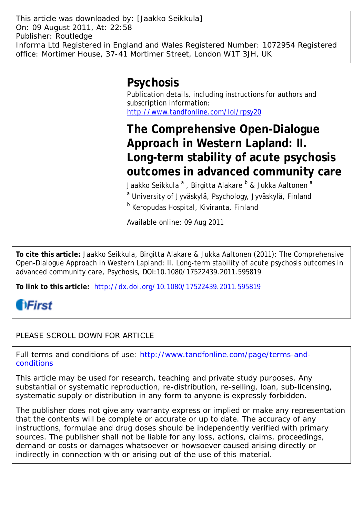This article was downloaded by: [Jaakko Seikkula] On: 09 August 2011, At: 22:58 Publisher: Routledge Informa Ltd Registered in England and Wales Registered Number: 1072954 Registered office: Mortimer House, 37-41 Mortimer Street, London W1T 3JH, UK

## **Psychosis**

Publication details, including instructions for authors and subscription information: <http://www.tandfonline.com/loi/rpsy20>

# **The Comprehensive Open-Dialogue Approach in Western Lapland: II. Long-term stability of acute psychosis outcomes in advanced community care**

Jaakko Seikkula <sup>a</sup> , Birgitta Alakare <sup>b</sup> & Jukka Aaltonen <sup>a</sup>

<sup>a</sup> University of Jyväskylä, Psychology, Jyväskylä, Finland

<sup>b</sup> Keropudas Hospital, Kiviranta, Finland

Available online: 09 Aug 2011

**To cite this article:** Jaakko Seikkula, Birgitta Alakare & Jukka Aaltonen (2011): The Comprehensive Open-Dialogue Approach in Western Lapland: II. Long-term stability of acute psychosis outcomes in advanced community care, Psychosis, DOI:10.1080/17522439.2011.595819

**To link to this article:** <http://dx.doi.org/10.1080/17522439.2011.595819>

# **fiFirst**

## PLEASE SCROLL DOWN FOR ARTICLE

Full terms and conditions of use: [http://www.tandfonline.com/page/terms-and](http://www.tandfonline.com/page/terms-and-conditions)[conditions](http://www.tandfonline.com/page/terms-and-conditions)

This article may be used for research, teaching and private study purposes. Any substantial or systematic reproduction, re-distribution, re-selling, loan, sub-licensing, systematic supply or distribution in any form to anyone is expressly forbidden.

The publisher does not give any warranty express or implied or make any representation that the contents will be complete or accurate or up to date. The accuracy of any instructions, formulae and drug doses should be independently verified with primary sources. The publisher shall not be liable for any loss, actions, claims, proceedings, demand or costs or damages whatsoever or howsoever caused arising directly or indirectly in connection with or arising out of the use of this material.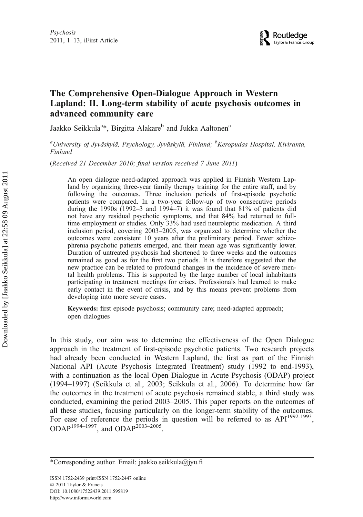### The Comprehensive Open-Dialogue Approach in Western Lapland: II. Long-term stability of acute psychosis outcomes in advanced community care

Jaakko Seikkula<sup>a</sup>\*, Birgitta Alakare<sup>b</sup> and Jukka Aaltonen<sup>a</sup>

<sup>a</sup>University of Jyväskylä, Psychology, Jyväskylä, Finland; <sup>b</sup>Keropudas Hospital, Kiviranta, Finland

(Received 21 December 2010; final version received 7 June 2011)

An open dialogue need-adapted approach was applied in Finnish Western Lapland by organizing three-year family therapy training for the entire staff, and by following the outcomes. Three inclusion periods of first-episode psychotic patients were compared. In a two-year follow-up of two consecutive periods during the 1990s (1992–3 and 1994–7) it was found that 81% of patients did not have any residual psychotic symptoms, and that 84% had returned to fulltime employment or studies. Only 33% had used neuroleptic medication. A third inclusion period, covering 2003–2005, was organized to determine whether the outcomes were consistent 10 years after the preliminary period. Fewer schizophrenia psychotic patients emerged, and their mean age was significantly lower. Duration of untreated psychosis had shortened to three weeks and the outcomes remained as good as for the first two periods. It is therefore suggested that the new practice can be related to profound changes in the incidence of severe mental health problems. This is supported by the large number of local inhabitants participating in treatment meetings for crises. Professionals had learned to make early contact in the event of crisis, and by this means prevent problems from developing into more severe cases.

Keywords: first episode psychosis; community care; need-adapted approach; open dialogues

In this study, our aim was to determine the effectiveness of the Open Dialogue approach in the treatment of first-episode psychotic patients. Two research projects had already been conducted in Western Lapland, the first as part of the Finnish National API (Acute Psychosis Integrated Treatment) study (1992 to end-1993), with a continuation as the local Open Dialogue in Acute Psychosis (ODAP) project (1994–1997) (Seikkula et al., 2003; Seikkula et al., 2006). To determine how far the outcomes in the treatment of acute psychosis remained stable, a third study was conducted, examining the period 2003–2005. This paper reports on the outcomes of all these studies, focusing particularly on the longer-term stability of the outcomes. For ease of reference the periods in question will be referred to as API<sup>1992-1993</sup>. ODAP<sup>1994–1997</sup>, and ODAP<sup>2003–2005</sup>.

<sup>\*</sup>Corresponding author. Email: jaakko.seikkula@jyu.fi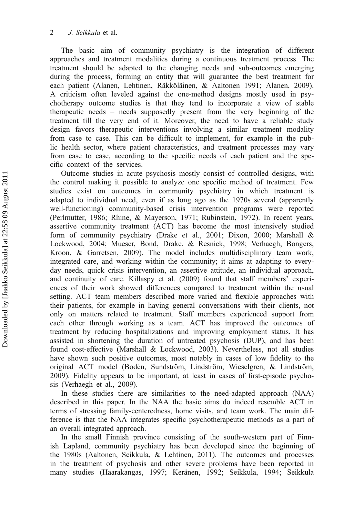The basic aim of community psychiatry is the integration of different approaches and treatment modalities during a continuous treatment process. The treatment should be adapted to the changing needs and sub-outcomes emerging during the process, forming an entity that will guarantee the best treatment for each patient (Alanen, Lehtinen, Räkköläinen, & Aaltonen 1991; Alanen, 2009). A criticism often leveled against the one-method designs mostly used in psychotherapy outcome studies is that they tend to incorporate a view of stable therapeutic needs – needs supposedly present from the very beginning of the treatment till the very end of it. Moreover, the need to have a reliable study design favors therapeutic interventions involving a similar treatment modality from case to case. This can be difficult to implement, for example in the public health sector, where patient characteristics, and treatment processes may vary from case to case, according to the specific needs of each patient and the specific context of the services.

Outcome studies in acute psychosis mostly consist of controlled designs, with the control making it possible to analyze one specific method of treatment. Few studies exist on outcomes in community psychiatry in which treatment is adapted to individual need, even if as long ago as the 1970s several (apparently well-functioning) community-based crisis intervention programs were reported (Perlmutter, 1986; Rhine, & Mayerson, 1971; Rubinstein, 1972). In recent years, assertive community treatment (ACT) has become the most intensively studied form of community psychiatry (Drake et al., 2001; Dixon, 2000; Marshall & Lockwood, 2004; Mueser, Bond, Drake, & Resnick, 1998; Verhaegh, Bongers, Kroon, & Garretsen, 2009). The model includes multidisciplinary team work, integrated care, and working within the community; it aims at adapting to everyday needs, quick crisis intervention, an assertive attitude, an individual approach, and continuity of care. Killaspy et al. (2009) found that staff members' experiences of their work showed differences compared to treatment within the usual setting. ACT team members described more varied and flexible approaches with their patients, for example in having general conversations with their clients, not only on matters related to treatment. Staff members experienced support from each other through working as a team. ACT has improved the outcomes of treatment by reducing hospitalizations and improving employment status. It has assisted in shortening the duration of untreated psychosis (DUP), and has been found cost-effective (Marshall & Lockwood, 2003). Nevertheless, not all studies have shown such positive outcomes, most notably in cases of low fidelity to the original ACT model (Bodén, Sundström, Lindström, Wieselgren, & Lindström, 2009). Fidelity appears to be important, at least in cases of first-episode psychosis (Verhaegh et al., 2009).

In these studies there are similarities to the need-adapted approach (NAA) described in this paper. In the NAA the basic aims do indeed resemble ACT in terms of stressing family-centeredness, home visits, and team work. The main difference is that the NAA integrates specific psychotherapeutic methods as a part of an overall integrated approach.

In the small Finnish province consisting of the south-western part of Finnish Lapland, community psychiatry has been developed since the beginning of the 1980s (Aaltonen, Seikkula, & Lehtinen, 2011). The outcomes and processes in the treatment of psychosis and other severe problems have been reported in many studies (Haarakangas, 1997; Keränen, 1992; Seikkula, 1994; Seikkula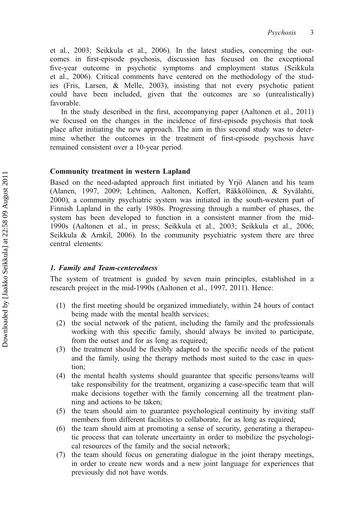et al., 2003; Seikkula et al., 2006). In the latest studies, concerning the outcomes in first-episode psychosis, discussion has focused on the exceptional five-year outcome in psychotic symptoms and employment status (Seikkula et al., 2006). Critical comments have centered on the methodology of the studies (Fris, Larsen, & Melle, 2003), insisting that not every psychotic patient could have been included, given that the outcomes are so (unrealistically) favorable.

In the study described in the first, accompanying paper (Aaltonen et al., 2011) we focused on the changes in the incidence of first-episode psychosis that took place after initiating the new approach. The aim in this second study was to determine whether the outcomes in the treatment of first-episode psychosis have remained consistent over a 10-year period.

#### Community treatment in western Lapland

Based on the need-adapted approach first initiated by Yrjö Alanen and his team (Alanen, 1997, 2009; Lehtinen, Aaltonen, Koffert, Räkkölöinen, & Syvälahti, 2000), a community psychiatric system was initiated in the south-western part of Finnish Lapland in the early 1980s. Progressing through a number of phases, the system has been developed to function in a consistent manner from the mid-1990s (Aaltonen et al., in press; Seikkula et al., 2003; Seikkula et al., 2006; Seikkula & Arnkil, 2006). In the community psychiatric system there are three central elements:

#### 1. Family and Team-centeredness

The system of treatment is guided by seven main principles, established in a research project in the mid-1990s (Aaltonen et al., 1997, 2011). Hence:

- (1) the first meeting should be organized immediately, within 24 hours of contact being made with the mental health services;
- (2) the social network of the patient, including the family and the professionals working with this specific family, should always be invited to participate, from the outset and for as long as required;
- (3) the treatment should be flexibly adapted to the specific needs of the patient and the family, using the therapy methods most suited to the case in question;
- (4) the mental health systems should guarantee that specific persons/teams will take responsibility for the treatment, organizing a case-specific team that will make decisions together with the family concerning all the treatment planning and actions to be taken;
- (5) the team should aim to guarantee psychological continuity by inviting staff members from different facilities to collaborate, for as long as required;
- (6) the team should aim at promoting a sense of security, generating a therapeutic process that can tolerate uncertainty in order to mobilize the psychological resources of the family and the social network;
- (7) the team should focus on generating dialogue in the joint therapy meetings, in order to create new words and a new joint language for experiences that previously did not have words.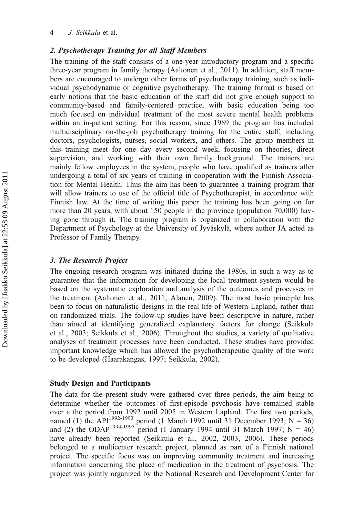#### 4 J. Seikkula et al.

#### 2. Psychotherapy Training for all Staff Members

The training of the staff consists of a one-year introductory program and a specific three-year program in family therapy (Aaltonen et al., 2011). In addition, staff members are encouraged to undergo other forms of psychotherapy training, such as individual psychodynamic or cognitive psychotherapy. The training format is based on early notions that the basic education of the staff did not give enough support to community-based and family-centered practice, with basic education being too much focused on individual treatment of the most severe mental health problems within an in-patient setting. For this reason, since 1989 the program has included multidisciplinary on-the-job psychotherapy training for the entire staff, including doctors, psychologists, nurses, social workers, and others. The group members in this training meet for one day every second week, focusing on theories, direct supervision, and working with their own family background. The trainers are mainly fellow employees in the system, people who have qualified as trainers after undergoing a total of six years of training in cooperation with the Finnish Association for Mental Health. Thus the aim has been to guarantee a training program that will allow trainers to use of the official title of Psychotherapist, in accordance with Finnish law. At the time of writing this paper the training has been going on for more than 20 years, with about 150 people in the province (population 70,000) having gone through it. The training program is organized in collaboration with the Department of Psychology at the University of Jyväskylä, where author JA acted as Professor of Family Therapy.

#### 3. The Research Project

The ongoing research program was initiated during the 1980s, in such a way as to guarantee that the information for developing the local treatment system would be based on the systematic exploration and analysis of the outcomes and processes in the treatment (Aaltonen et al., 2011; Alanen, 2009). The most basic principle has been to focus on naturalistic designs in the real life of Western Lapland, rather than on randomized trials. The follow-up studies have been descriptive in nature, rather than aimed at identifying generalized explanatory factors for change (Seikkula et al., 2003; Seikkula et al., 2006). Throughout the studies, a variety of qualitative analyses of treatment processes have been conducted. These studies have provided important knowledge which has allowed the psychotherapeutic quality of the work to be developed (Haarakangas, 1997; Seikkula, 2002).

#### Study Design and Participants

The data for the present study were gathered over three periods, the aim being to determine whether the outcomes of first-episode psychosis have remained stable over a the period from 1992 until 2005 in Western Lapland. The first two periods, named (1) the API<sup>1992-1993</sup> period (1 March 1992 until 31 December 1993;  $N = 36$ ) and (2) the ODAP<sup>1994-1997</sup> period (1 January 1994 until 31 March 1997; N = 46) have already been reported (Seikkula et al., 2002, 2003, 2006). These periods belonged to a multicenter research project, planned as part of a Finnish national project. The specific focus was on improving community treatment and increasing information concerning the place of medication in the treatment of psychosis. The project was jointly organized by the National Research and Development Center for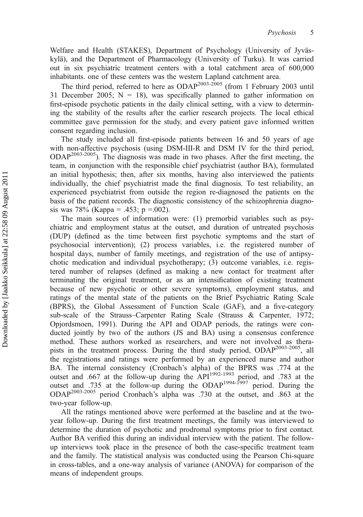Welfare and Health (STAKES), Department of Psychology (University of Jyväskylä), and the Department of Pharmacology (University of Turku). It was carried out in six psychiatric treatment centers with a total catchment area of 600,000 inhabitants. one of these centers was the western Lapland catchment area.

The third period, referred to here as ODAP<sup>2003-2005</sup> (from 1 February 2003 until 31 December 2005;  $N = 18$ ), was specifically planned to gather information on first-episode psychotic patients in the daily clinical setting, with a view to determining the stability of the results after the earlier research projects. The local ethical committee gave permission for the study, and every patient gave informed written consent regarding inclusion.

The study included all first-episode patients between 16 and 50 years of age with non-affective psychosis (using DSM-III-R and DSM IV for the third period, ODAP2003-2005). The diagnosis was made in two phases. After the first meeting, the team, in conjunction with the responsible chief psychiatrist (author BA), formulated an initial hypothesis; then, after six months, having also interviewed the patients individually, the chief psychiatrist made the final diagnosis. To test reliability, an experienced psychiatrist from outside the region re-diagnosed the patients on the basis of the patient records. The diagnostic consistency of the schizophrenia diagnosis was 78% (Kappa = .453; p = .002).

The main sources of information were: (1) premorbid variables such as psychiatric and employment status at the outset, and duration of untreated psychosis (DUP) (defined as the time between first psychotic symptoms and the start of psychosocial intervention); (2) process variables, i.e. the registered number of hospital days, number of family meetings, and registration of the use of antipsychotic medication and individual psychotherapy; (3) outcome variables, i.e. registered number of relapses (defined as making a new contact for treatment after terminating the original treatment, or as an intensification of existing treatment because of new psychotic or other severe symptoms), employment status, and ratings of the mental state of the patients on the Brief Psychiatric Rating Scale (BPRS), the Global Assessment of Function Scale (GAF), and a five-category sub-scale of the Strauss–Carpenter Rating Scale (Strauss & Carpenter, 1972; Opjordsmoen, 1991). During the API and ODAP periods, the ratings were conducted jointly by two of the authors (JS and BA) using a consensus conference method. These authors worked as researchers, and were not involved as therapists in the treatment process. During the third study period, ODAP<sup>2003-2005</sup>, all the registrations and ratings were performed by an experienced nurse and author BA. The internal consistency (Cronbach's alpha) of the BPRS was .774 at the outset and .667 at the follow-up during the API<sup>1992-1993</sup> period, and .783 at the outset and .735 at the follow-up during the ODAP1994-1997 period. During the ODAP2003-2005 period Cronbach's alpha was .730 at the outset, and .863 at the two-year follow-up.

All the ratings mentioned above were performed at the baseline and at the twoyear follow-up. During the first treatment meetings, the family was interviewed to determine the duration of psychotic and prodromal symptoms prior to first contact. Author BA verified this during an individual interview with the patient. The followup interviews took place in the presence of both the case-specific treatment team and the family. The statistical analysis was conducted using the Pearson Chi-square in cross-tables, and a one-way analysis of variance (ANOVA) for comparison of the means of independent groups.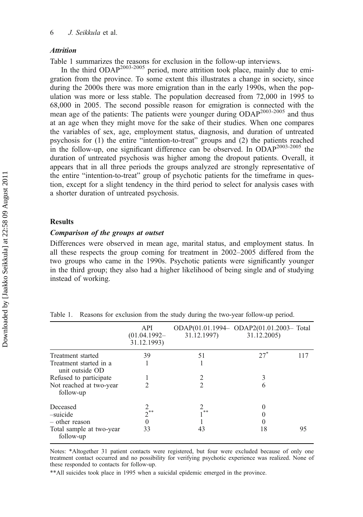#### **Attrition**

Table 1 summarizes the reasons for exclusion in the follow-up interviews.

In the third  $ODAP^{2003-2005}$  period, more attrition took place, mainly due to emigration from the province. To some extent this illustrates a change in society, since during the 2000s there was more emigration than in the early 1990s, when the population was more or less stable. The population decreased from 72,000 in 1995 to 68,000 in 2005. The second possible reason for emigration is connected with the mean age of the patients: The patients were younger during ODAP2003-2005 and thus at an age when they might move for the sake of their studies. When one compares the variables of sex, age, employment status, diagnosis, and duration of untreated psychosis for (1) the entire "intention-to-treat" groups and (2) the patients reached in the follow-up, one significant difference can be observed. In ODAP<sup>2003-2005</sup> the duration of untreated psychosis was higher among the dropout patients. Overall, it appears that in all three periods the groups analyzed are strongly representative of the entire "intention-to-treat" group of psychotic patients for the timeframe in question, except for a slight tendency in the third period to select for analysis cases with a shorter duration of untreated psychosis.

#### Results

#### Comparison of the groups at outset

Differences were observed in mean age, marital status, and employment status. In all these respects the group coming for treatment in 2002–2005 differed from the two groups who came in the 1990s. Psychotic patients were significantly younger in the third group; they also had a higher likelihood of being single and of studying instead of working.

|                                           | API<br>$(01.04.1992 -$<br>31.12.1993) | 31.12.1997)                   | ODAP(01.01.1994 - ODAP2(01.01.2003 - Total<br>31.12.2005) |     |
|-------------------------------------------|---------------------------------------|-------------------------------|-----------------------------------------------------------|-----|
| Treatment started                         | 39                                    | 51                            | $27^*$                                                    | 117 |
| Treatment started in a<br>unit outside OD |                                       |                               |                                                           |     |
| Refused to participate                    |                                       |                               | 3                                                         |     |
| Not reached at two-year<br>follow-up      | 2                                     | $\mathfrak{D}_{\mathfrak{p}}$ | 6                                                         |     |
| Deceased<br>-suicide                      | $\overline{2}^{**}$                   | **                            |                                                           |     |
| - other reason                            | $\Omega$                              |                               |                                                           |     |
| Total sample at two-year<br>follow-up     | 33                                    | 43                            | 18                                                        | 95  |

Table 1. Reasons for exclusion from the study during the two-year follow-up period.

Notes: \*Altogether 31 patient contacts were registered, but four were excluded because of only one treatment contact occurred and no possibility for verifying psychotic experience was realized. None of these responded to contacts for follow-up.

\*\*All suicides took place in 1995 when a suicidal epidemic emerged in the province.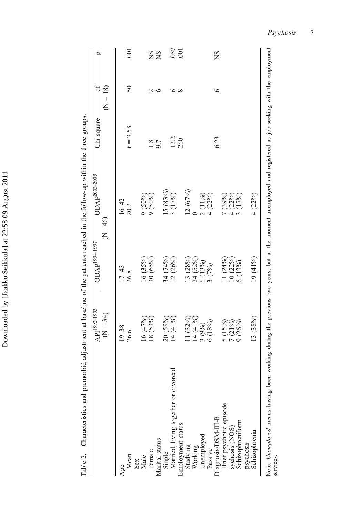|                                                                                                                    | API <sup>1992-1993</sup> | ODAP <sup>1994-1997</sup> | ODAP <sup>2003-2005</sup> | Chi-square         | ₩               | p               |
|--------------------------------------------------------------------------------------------------------------------|--------------------------|---------------------------|---------------------------|--------------------|-----------------|-----------------|
|                                                                                                                    | $(N = 34)$               |                           | $(N=46)$                  |                    | $(N = 18)$      |                 |
| Age<br>Mean<br>Sex<br>Sex<br>Male<br>Hemale<br>Female<br>Marital status                                            | $19 - 38$<br>26.6        | $17 - 43$<br>26.8         | $16 - 42$<br>20.2         |                    | $\overline{50}$ | $\overline{0}0$ |
|                                                                                                                    |                          |                           |                           | $t = 3.53$         |                 |                 |
|                                                                                                                    | 16(47%)                  | 16(35%)                   | 9(50%)                    |                    |                 |                 |
|                                                                                                                    | 18 (53%)                 | 30(65%)                   | 9(50%)                    | $\frac{8}{9.7}$    | $\sim$          | <b>SS</b>       |
|                                                                                                                    |                          |                           |                           |                    | $\circ$         |                 |
|                                                                                                                    | 20 (59%)                 | 34 (74%)                  | 15 (83%)                  |                    |                 |                 |
| Single<br>Married, living together or divorced                                                                     | 14(41%)                  | (26%)<br>$\overline{12}$  | 3 (17%)                   | $\frac{12.2}{260}$ | ७               | .057            |
|                                                                                                                    |                          |                           |                           |                    | $\infty$        | 001             |
| Employment status<br>Studying<br>Working<br>Unemployed<br>Lassive                                                  | 11 (32%)                 | 13(28%)                   | 12(67%)                   |                    |                 |                 |
|                                                                                                                    | 14(41%)                  | 24 (52%)                  |                           |                    |                 |                 |
|                                                                                                                    | 3(9%)                    | 6 (13%)                   | 2(11%)                    |                    |                 |                 |
|                                                                                                                    | 6(18%)                   | 3(7%)                     | 4(22%)                    |                    |                 |                 |
|                                                                                                                    |                          |                           |                           | 6.23               | $\circ$         | SN              |
|                                                                                                                    |                          | 11(24%)                   | (39%                      |                    |                 |                 |
|                                                                                                                    | 5 (15%)<br>7 (21%)       | 10(22%)                   | 4(22%)                    |                    |                 |                 |
|                                                                                                                    | 9(26%)                   | 6(13%)                    | (17%)                     |                    |                 |                 |
|                                                                                                                    |                          |                           |                           |                    |                 |                 |
| Diagnosis/DSM-III-R<br>Brief psychotic episode<br>sychosis (NOS)<br>Schizophreniform<br>psychosis<br>Schizophrenia | 13 (38%)                 | 19 (41%)                  | 4(22%)                    |                    |                 |                 |

Table 2. Characteristics and premorbid adjustment at baseline of the patients reached in the follow-up within the three groups. Characteristics and premorbid adjustment at baseline of the patients reached in the follow-up within the three Table  $2$ 

Downloaded by [Jaakko Seikkula] at 22:58 09 August 2011 Downloaded by [Jaakko Seikkula] at 22:58 09 August 2011 Psychosis 7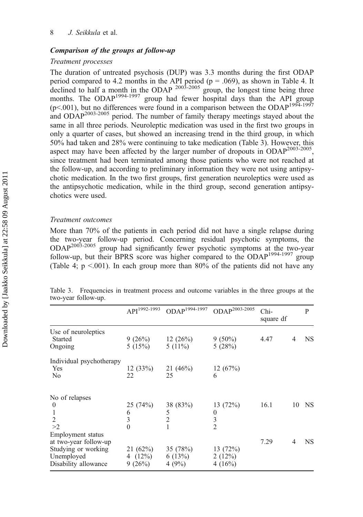#### Comparison of the groups at follow-up

#### Treatment processes

The duration of untreated psychosis (DUP) was 3.3 months during the first ODAP period compared to 4.2 months in the API period ( $p = .069$ ), as shown in Table 4. It declined to half a month in the ODAP  $200\overline{3}$ -2005 group, the longest time being three months. The ODAP<sup>1994-1997</sup> group had fewer hospital days than the API group (p<.001), but no differences were found in a comparison between the ODAP1994-1997 and ODAP2003-2005 period. The number of family therapy meetings stayed about the same in all three periods. Neuroleptic medication was used in the first two groups in only a quarter of cases, but showed an increasing trend in the third group, in which 50% had taken and 28% were continuing to take medication (Table 3). However, this aspect may have been affected by the larger number of dropouts in ODAP<sup>2003-2005</sup> since treatment had been terminated among those patients who were not reached at the follow-up, and according to preliminary information they were not using antipsychotic medication. In the two first groups, first generation neuroleptics were used as the antipsychotic medication, while in the third group, second generation antipsychotics were used.

#### Treatment outcomes

More than 70% of the patients in each period did not have a single relapse during the two-year follow-up period. Concerning residual psychotic symptoms, the ODAP2003-2005 group had significantly fewer psychotic symptoms at the two-year follow-up, but their BPRS score was higher compared to the ODAP<sup>1994-1997</sup> group (Table 4;  $p \le 0.001$ ). In each group more than 80% of the patients did not have any

|                          | $API1992-1993$ | ODAP <sup>1994-1997</sup> | $ODAP^{2003-2005}$ | Chi-<br>square df |                | P   |
|--------------------------|----------------|---------------------------|--------------------|-------------------|----------------|-----|
| Use of neuroleptics      |                |                           |                    |                   |                |     |
| Started                  | 9(26%)         | 12 $(26%)$                | $9(50\%)$          | 4.47              | $\overline{4}$ | NS. |
| Ongoing                  | 5(15%)         | $5(11\%)$                 | 5(28%)             |                   |                |     |
| Individual psychotherapy |                |                           |                    |                   |                |     |
| Yes                      | 12(33%)        | 21 $(46%)$                | 12(67%)            |                   |                |     |
| N <sub>0</sub>           | 22             | 25                        | 6                  |                   |                |     |
| No of relapses           |                |                           |                    |                   |                |     |
| $\theta$                 | 25(74%)        | 38 (83%)                  | 13 $(72%)$         | 16.1              | 10             | NS. |
|                          | 6              | 5                         | $\theta$           |                   |                |     |
| 2                        | 3              | $\overline{2}$            | $\sqrt{3}$         |                   |                |     |
| >2                       | $\theta$       |                           | $\overline{2}$     |                   |                |     |
| Employment status        |                |                           |                    |                   |                |     |
| at two-year follow-up    |                |                           |                    | 7.29              | $\overline{4}$ | NS. |
| Studying or working      | 21(62%)        | 35(78%)                   | 13 $(72%)$         |                   |                |     |
| Unemployed               | 4 $(12%)$      | 6(13%)                    | 2(12%)             |                   |                |     |
| Disability allowance     | 9(26%)         | 4(9%)                     | 4(16%)             |                   |                |     |

Table 3. Frequencies in treatment process and outcome variables in the three groups at the two-year follow-up.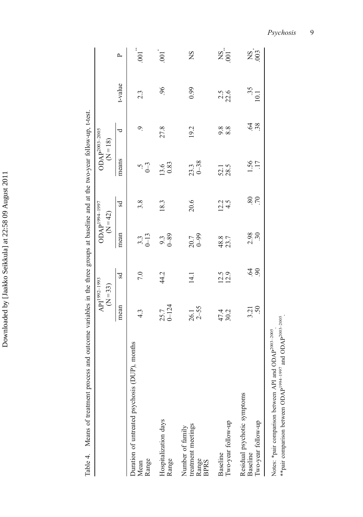| Table 4.                          | Means of treatment process and outcome variables in the three groups at baseline and at the two-year follow-up, t-test                             |                                        |                  |                                         |                    |                                  |                    |                    |                                |
|-----------------------------------|----------------------------------------------------------------------------------------------------------------------------------------------------|----------------------------------------|------------------|-----------------------------------------|--------------------|----------------------------------|--------------------|--------------------|--------------------------------|
|                                   |                                                                                                                                                    | API <sup>1992-1993</sup><br>$(N = 33)$ |                  | ODAP <sup>1994-1997</sup><br>$(N = 42)$ |                    | $ODAP^{2003-2005}$<br>$(N = 18)$ |                    |                    |                                |
|                                   |                                                                                                                                                    | mean                                   | Sd               | mean                                    | Sd                 | means                            | ರ                  | t-value            | $\sim$                         |
| Range<br>Mean                     | Duration of untreated psychosis (DUP), months                                                                                                      | 4.3                                    | 7.0              | $3.3$<br>0-13                           | 3.8                | $\tilde{c}$                      | ್.                 | 2.3                | $rac{1}{2}$                    |
| Range                             | Hospitalization days                                                                                                                               | $25.7$<br>0-124                        | 44.2             | $0.3$<br>0-89                           | 18.3               | 0.83<br>13.6                     | 27.8               | 96.                | $\overline{001}$               |
| Number of family<br>Range<br>BPRS | treatment meetings                                                                                                                                 | $26.1$<br>$2-55$                       | 14.1             | $20.7$<br>$0 - 99$                      | 20.6               | $23.3$<br>$0-38$                 | 19.2               | 0.99               | SN                             |
| Baseline                          | Two-year follow-up                                                                                                                                 | 47.4<br>30.2                           | $12.5$<br>$12.9$ | 48.8<br>23.7                            | $\frac{12.5}{4.5}$ | 52.1                             | $\frac{8}{8}$      | $\frac{2.5}{22.6}$ | $2\frac{1}{2}$                 |
| Baseline                          | Residual psychotic symptoms<br>Two-year follow-up                                                                                                  | 3.21                                   | 69               | 2.98                                    | $rac{6}{28}$       | 1.56<br>17                       | $6\overset{.}{4}8$ | $\frac{35}{10.1}$  | $\mathop{\rm g}\nolimits_{00}$ |
|                                   | **pair comparison between ODAP <sup>1994-1997</sup> and ODAP <sup>2003-2005</sup><br>and $ODAP^{2003-2005}$<br>Notes: *pair comparison between API |                                        |                  |                                         |                    |                                  |                    |                    |                                |

Downloaded by [Jaakko Seikkula] at 22:58 09 August 2011 Downloaded by [Jaakko Seikkula] at 22:58 09 August 2011 Psychosis 9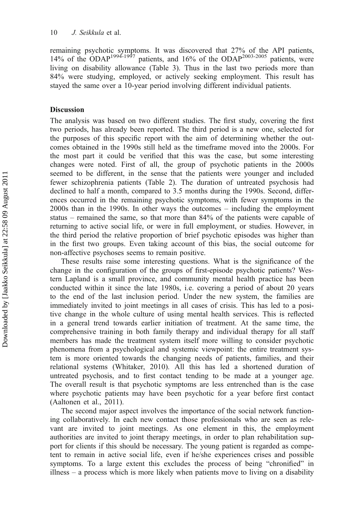remaining psychotic symptoms. It was discovered that 27% of the API patients, 14% of the ODAP<sup>1994-1997</sup> patients, and 16% of the ODAP<sup>2003-2005</sup> patients, were living on disability allowance (Table 3). Thus in the last two periods more than 84% were studying, employed, or actively seeking employment. This result has stayed the same over a 10-year period involving different individual patients.

#### **Discussion**

The analysis was based on two different studies. The first study, covering the first two periods, has already been reported. The third period is a new one, selected for the purposes of this specific report with the aim of determining whether the outcomes obtained in the 1990s still held as the timeframe moved into the 2000s. For the most part it could be verified that this was the case, but some interesting changes were noted. First of all, the group of psychotic patients in the 2000s seemed to be different, in the sense that the patients were younger and included fewer schizophrenia patients (Table 2). The duration of untreated psychosis had declined to half a month, compared to 3.5 months during the 1990s. Second, differences occurred in the remaining psychotic symptoms, with fewer symptoms in the 2000s than in the 1990s. In other ways the outcomes – including the employment status – remained the same, so that more than 84% of the patients were capable of returning to active social life, or were in full employment, or studies. However, in the third period the relative proportion of brief psychotic episodes was higher than in the first two groups. Even taking account of this bias, the social outcome for non-affective psychoses seems to remain positive.

These results raise some interesting questions. What is the significance of the change in the configuration of the groups of first-episode psychotic patients? Western Lapland is a small province, and community mental health practice has been conducted within it since the late 1980s, i.e. covering a period of about 20 years to the end of the last inclusion period. Under the new system, the families are immediately invited to joint meetings in all cases of crisis. This has led to a positive change in the whole culture of using mental health services. This is reflected in a general trend towards earlier initiation of treatment. At the same time, the comprehensive training in both family therapy and individual therapy for all staff members has made the treatment system itself more willing to consider psychotic phenomena from a psychological and systemic viewpoint: the entire treatment system is more oriented towards the changing needs of patients, families, and their relational systems (Whitaker, 2010). All this has led a shortened duration of untreated psychosis, and to first contact tending to be made at a younger age. The overall result is that psychotic symptoms are less entrenched than is the case where psychotic patients may have been psychotic for a year before first contact (Aaltonen et al., 2011).

The second major aspect involves the importance of the social network functioning collaboratively. In each new contact those professionals who are seen as relevant are invited to joint meetings. As one element in this, the employment authorities are invited to joint therapy meetings, in order to plan rehabilitation support for clients if this should be necessary. The young patient is regarded as competent to remain in active social life, even if he/she experiences crises and possible symptoms. To a large extent this excludes the process of being "chronified" in illness – a process which is more likely when patients move to living on a disability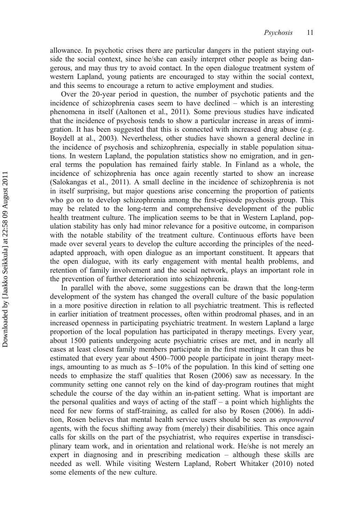allowance. In psychotic crises there are particular dangers in the patient staying outside the social context, since he/she can easily interpret other people as being dangerous, and may thus try to avoid contact. In the open dialogue treatment system of western Lapland, young patients are encouraged to stay within the social context, and this seems to encourage a return to active employment and studies.

Over the 20-year period in question, the number of psychotic patients and the incidence of schizophrenia cases seem to have declined – which is an interesting phenomena in itself (Aaltonen et al., 2011). Some previous studies have indicated that the incidence of psychosis tends to show a particular increase in areas of immigration. It has been suggested that this is connected with increased drug abuse (e.g. Boydell at al., 2003). Nevertheless, other studies have shown a general decline in the incidence of psychosis and schizophrenia, especially in stable population situations. In western Lapland, the population statistics show no emigration, and in general terms the population has remained fairly stable. In Finland as a whole, the incidence of schizophrenia has once again recently started to show an increase (Salokangas et al., 2011). A small decline in the incidence of schizophrenia is not in itself surprising, but major questions arise concerning the proportion of patients who go on to develop schizophrenia among the first-episode psychosis group. This may be related to the long-term and comprehensive development of the public health treatment culture. The implication seems to be that in Western Lapland, population stability has only had minor relevance for a positive outcome, in comparison with the notable stability of the treatment culture. Continuous efforts have been made over several years to develop the culture according the principles of the needadapted approach, with open dialogue as an important constituent. It appears that the open dialogue, with its early engagement with mental health problems, and retention of family involvement and the social network, plays an important role in the prevention of further deterioration into schizophrenia.

In parallel with the above, some suggestions can be drawn that the long-term development of the system has changed the overall culture of the basic population in a more positive direction in relation to all psychiatric treatment. This is reflected in earlier initiation of treatment processes, often within prodromal phases, and in an increased openness in participating psychiatric treatment. In western Lapland a large proportion of the local population has participated in therapy meetings. Every year, about 1500 patients undergoing acute psychiatric crises are met, and in nearly all cases at least closest family members participate in the first meetings. It can thus be estimated that every year about 4500–7000 people participate in joint therapy meetings, amounting to as much as 5–10% of the population. In this kind of setting one needs to emphasize the staff qualities that Rosen (2006) saw as necessary. In the community setting one cannot rely on the kind of day-program routines that might schedule the course of the day within an in-patient setting. What is important are the personal qualities and ways of acting of the staff  $-$  a point which highlights the need for new forms of staff-training, as called for also by Rosen (2006). In addition, Rosen believes that mental health service users should be seen as empowered agents, with the focus shifting away from (merely) their disabilities. This once again calls for skills on the part of the psychiatrist, who requires expertise in transdisciplinary team work, and in orientation and relational work. He/she is not merely an expert in diagnosing and in prescribing medication – although these skills are needed as well. While visiting Western Lapland, Robert Whitaker (2010) noted some elements of the new culture.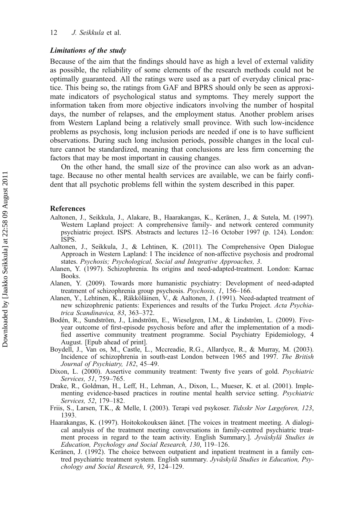#### Limitations of the study

Because of the aim that the findings should have as high a level of external validity as possible, the reliability of some elements of the research methods could not be optimally guaranteed. All the ratings were used as a part of everyday clinical practice. This being so, the ratings from GAF and BPRS should only be seen as approximate indicators of psychological status and symptoms. They merely support the information taken from more objective indicators involving the number of hospital days, the number of relapses, and the employment status. Another problem arises from Western Lapland being a relatively small province. With such low-incidence problems as psychosis, long inclusion periods are needed if one is to have sufficient observations. During such long inclusion periods, possible changes in the local culture cannot be standardized, meaning that conclusions are less firm concerning the factors that may be most important in causing changes.

On the other hand, the small size of the province can also work as an advantage. Because no other mental health services are available, we can be fairly confident that all psychotic problems fell within the system described in this paper.

#### References

- Aaltonen, J., Seikkula, J., Alakare, B., Haarakangas, K., Keränen, J., & Sutela, M. (1997). Western Lapland project: A comprehensive family- and network centered community psychiatric project. ISPS. Abstracts and lectures 12–16 October 1997 (p. 124). London: ISPS.
- Aaltonen, J., Seikkula, J., & Lehtinen, K. (2011). The Comprehensive Open Dialogue Approach in Western Lapland: I The incidence of non-affective psychosis and prodromal states. Psychosis; Psychological, Social and Integrative Approaches, 3.
- Alanen, Y. (1997). Schizophrenia. Its origins and need-adapted-treatment. London: Karnac Books.
- Alanen, Y. (2009). Towards more humanistic psychiatry: Development of need-adapted treatment of schizophrenia group psychosis. Psychosis, 1, 156–166.
- Alanen, Y., Lehtinen, K., Räkköläinen, V., & Aaltonen, J. (1991). Need-adapted treatment of new schizophrenic patients: Experiences and results of the Turku Project. Acta Psychiatrica Scandinavica, 83, 363–372.
- Bodén, R., Sundström, J., Lindström, E., Wieselgren, I.M., & Lindström, L. (2009). Fiveyear outcome of first-episode psychosis before and after the implementation of a modified assertive community treatment programme. Social Psychiatry Epidemiology, 4 August. [Epub ahead of print].
- Boydell, J., Van os, M., Castle, L., Mccreadie, R.G., Allardyce, R., & Murray, M. (2003). Incidence of schizophrenia in south-east London between 1965 and 1997. The British Journal of Psychiatry, 182, 45–49.
- Dixon, L. (2000). Assertive community treatment: Twenty five years of gold. Psychiatric Services, 51, 759–765.
- Drake, R., Goldman, H., Leff, H., Lehman, A., Dixon, L., Mueser, K. et al. (2001). Implementing evidence-based practices in routine mental health service setting. Psychiatric Services, 52, 179–182.
- Friis, S., Larsen, T.K., & Melle, I. (2003). Terapi ved psykoser. Tidsskr Nor Lægeforen, 123, 1393.
- Haarakangas, K. (1997). Hoitokokouksen äänet. [The voices in treatment meeting. A dialogical analysis of the treatment meeting conversations in family-centred psychiatric treatment process in regard to the team activity. English Summary.]. Jyväskylä Studies in Education, Psychology and Social Research, 130, 119–126.
- Keränen, J. (1992). The choice between outpatient and inpatient treatment in a family centred psychiatric treatment system. English summary. Jyväskylä Studies in Education, Psychology and Social Research, 93, 124–129.